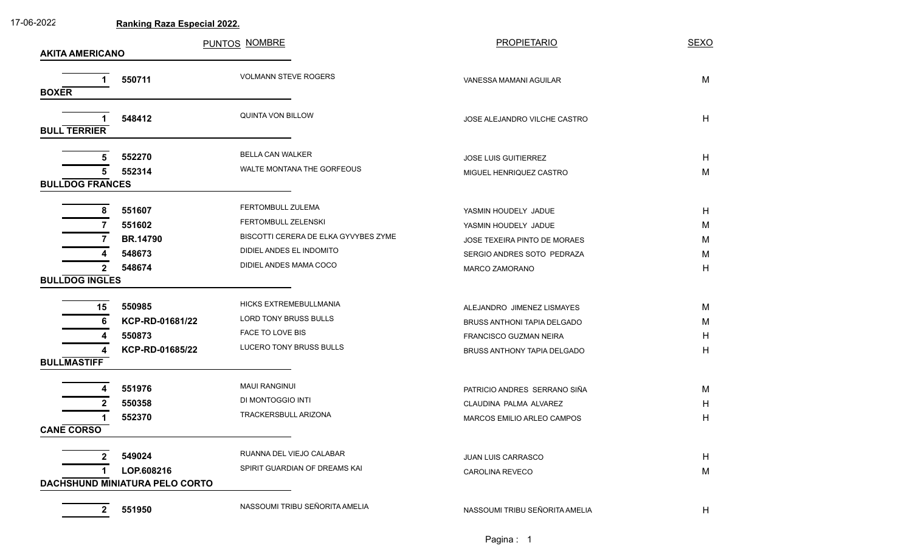| 17-06-2022             |                                      | <b>Ranking Raza Especial 2022.</b>   |                                                           |             |  |  |  |  |
|------------------------|--------------------------------------|--------------------------------------|-----------------------------------------------------------|-------------|--|--|--|--|
|                        |                                      | PUNTOS NOMBRE                        | <b>PROPIETARIO</b>                                        | <b>SEXO</b> |  |  |  |  |
| <b>AKITA AMERICANO</b> |                                      |                                      |                                                           |             |  |  |  |  |
|                        | 550711                               | <b>VOLMANN STEVE ROGERS</b>          | VANESSA MAMANI AGUILAR                                    | M           |  |  |  |  |
| <b>BOXER</b>           |                                      |                                      |                                                           |             |  |  |  |  |
|                        |                                      |                                      |                                                           |             |  |  |  |  |
|                        | 548412                               | QUINTA VON BILLOW                    | JOSE ALEJANDRO VILCHE CASTRO                              | H           |  |  |  |  |
| <b>BULL TERRIER</b>    |                                      |                                      |                                                           |             |  |  |  |  |
|                        | 552270<br>5                          | <b>BELLA CAN WALKER</b>              | JOSE LUIS GUITIERREZ                                      | H           |  |  |  |  |
|                        | 552314                               | WALTE MONTANA THE GORFEOUS           | MIGUEL HENRIQUEZ CASTRO                                   | M           |  |  |  |  |
| <b>BULLDOG FRANCES</b> |                                      |                                      |                                                           |             |  |  |  |  |
|                        |                                      | FERTOMBULL ZULEMA                    |                                                           |             |  |  |  |  |
|                        | 551607<br>8<br>551602                | FERTOMBULL ZELENSKI                  | YASMIN HOUDELY JADUE<br>YASMIN HOUDELY JADUE              | H<br>M      |  |  |  |  |
|                        | <b>BR.14790</b>                      | BISCOTTI CERERA DE ELKA GYVYBES ZYME | JOSE TEXEIRA PINTO DE MORAES                              | M           |  |  |  |  |
|                        | 548673                               | DIDIEL ANDES EL INDOMITO             | SERGIO ANDRES SOTO PEDRAZA                                | M           |  |  |  |  |
|                        | 548674<br>2                          | DIDIEL ANDES MAMA COCO               | MARCO ZAMORANO                                            | H           |  |  |  |  |
| <b>BULLDOG INGLES</b>  |                                      |                                      |                                                           |             |  |  |  |  |
|                        |                                      | HICKS EXTREMEBULLMANIA               |                                                           |             |  |  |  |  |
|                        | 550985<br>15<br>KCP-RD-01681/22<br>6 | LORD TONY BRUSS BULLS                | ALEJANDRO JIMENEZ LISMAYES<br>BRUSS ANTHONI TAPIA DELGADO | M<br>M      |  |  |  |  |
|                        | 550873                               | FACE TO LOVE BIS                     | FRANCISCO GUZMAN NEIRA                                    | H           |  |  |  |  |
|                        | KCP-RD-01685/22<br>Δ                 | LUCERO TONY BRUSS BULLS              | BRUSS ANTHONY TAPIA DELGADO                               | H           |  |  |  |  |
| <b>BULLMASTIFF</b>     |                                      |                                      |                                                           |             |  |  |  |  |
|                        |                                      | <b>MAUI RANGINUI</b>                 |                                                           |             |  |  |  |  |
|                        | 551976                               | DI MONTOGGIO INTI                    | PATRICIO ANDRES SERRANO SIÑA                              | M           |  |  |  |  |
|                        | 550358<br>552370                     | TRACKERSBULL ARIZONA                 | CLAUDINA PALMA ALVAREZ                                    | H<br>н      |  |  |  |  |
| <b>CANE CORSO</b>      |                                      |                                      | MARCOS EMILIO ARLEO CAMPOS                                |             |  |  |  |  |
|                        |                                      |                                      |                                                           |             |  |  |  |  |
|                        | 549024                               | RUANNA DEL VIEJO CALABAR             | JUAN LUIS CARRASCO                                        | H           |  |  |  |  |
|                        | LOP.608216                           | SPIRIT GUARDIAN OF DREAMS KAI        | <b>CAROLINA REVECO</b>                                    | M           |  |  |  |  |
|                        | DACHSHUND MINIATURA PELO CORTO       |                                      |                                                           |             |  |  |  |  |
|                        | 551950<br>$\mathbf{2}$               | NASSOUMI TRIBU SEÑORITA AMELIA       | NASSOUMI TRIBU SEÑORITA AMELIA                            | H           |  |  |  |  |
|                        |                                      |                                      |                                                           |             |  |  |  |  |